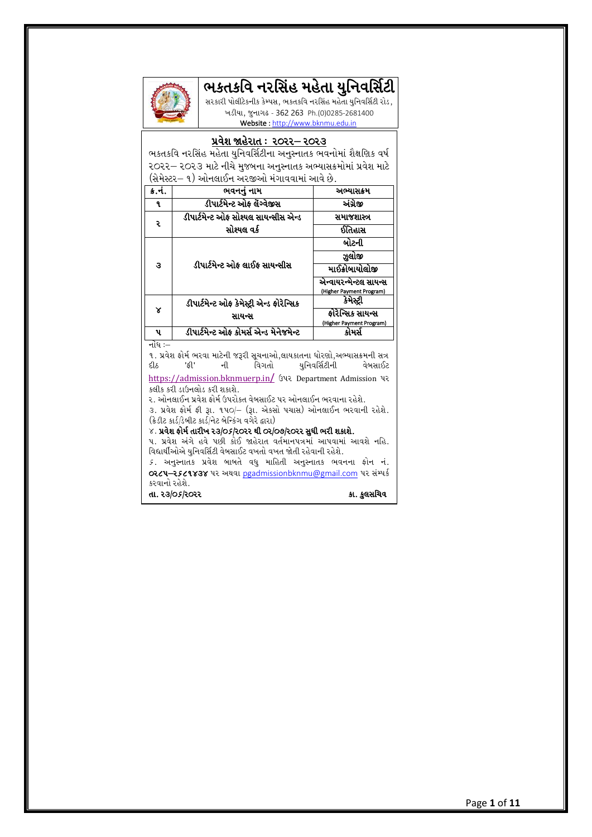# ભકતકવિ નરસિંહ મહેતા યુનિવર્સિટી



સરકારી પોલીટેકનીક કેમ્પસ, ભકતકવિ નરસિંહ મહેતા યુનિવર્સિટી રોડ, ખડીયા, જુનાગઢ - 362 263 Ph.(0)0285-2681400 Website [: http://www.bknmu.edu.in](http://www.bknmu.edu.in/)

#### <u>પ્રવેશ જાહેરાત : ૨૦૨૨– ૨૦૨૩</u>

ભકતકવિ નરસિંહ મહેતા યુનિવર્સિટીના અનુસ્નાતક ભવનોમાં શૈક્ષણિક વર્ષ 2022 – 2023 માટે નીચે મુજબના અનુસ્નાતક અભ્યાસક્રમોમાં પ્રવેશ માટે (સેમેસ્ટર– ૧) ઓનલાઈન અરજીઓ મંગાવવામાં આવે છે.

| ક.ન. | ભવનનું નામ                                | અભ્યાસક્રમ                           |
|------|-------------------------------------------|--------------------------------------|
| ٩.   | ડીપાર્ટમેન્ટ ઓફ લેંગ્વેજીસ                | અંગ્રેજી                             |
| ç    | ડીપાર્ટમેન્ટ ઓફ સોશ્યલ સાયન્સીસ એન્ડ      | સમાજશાસ્ત્ર                          |
|      | સોશ્યલ વર્ક                               | ઈતિહાસ                               |
| з    |                                           | બોટની                                |
|      |                                           | ઝલોજી                                |
|      | ડીપાર્ટમેન્ટ ઓક લાઈક સાયન્સીસ             | માઈક્રોબાયોલોજી                      |
|      |                                           | એન્વાયરન્મેન્ટલ સાયન્સ               |
| ×    | ડીપાર્ટમેન્ટ ઓફ કેમેસ્ટ્રી એન્ડ ફોરેન્સિક | (Higher Payment Program)<br>કેમેસ્ટી |
|      | સાયન્સ                                    | ફોરેન્સિક સાયન્સ                     |
|      |                                           | (Higher Payment Program)             |
| પ    | ડીપાર્ટમેન્ટ ઓફ કોમર્સ એન્ડ મેનેજમેન્ટ    | કોમર્સ                               |

નોંધ $:=$ 

!P 5|J[X OMD" EZJF DF8[GL H~ZL ;}RGFVM4,FISFTGF WMZ6M4VeIF;ÊDGL ;+ યુનિવર્સિટીની [https://admission.bknmuerp.in](https://admission.bknmuerp.in/)/ ઉપર Department Admission પર કલીક કરી ડાઉનલોડ કરી શકાશે.

૨. ઓનલાઈન પ્રવેશ ફોર્મ ઉપરોકત વેબસાઈટ પર ઓનલાઈન ભરવાના રહેશે.

 $3.$  પ્રવેશ ફોર્મ ફી રૂા. ૧૫૦/- (રૂા. એકસો પચાસ) ઓનલાઈન ભરવાની રહેશે.  $\hat{S}(\hat{s})$ કાર્ડ/ડેબીટ કાર્ડ/નેટ બેન્કિંગ વગેરે દ્વારા $)$ 

#### $\times$ . પ્રવેશ ફોર્મ તારીખ ર૩/૦5/ર૦રર થી ૦૨/૦૭/ર૦રર સુધી ભરી શકાશે.

પ. પ્રવેશ અંગે હવે પછી કોઈ જાહેરાત વર્તમાનપત્રમાં આપવામાં આવશે નહિ. વિદ્યાર્થીઓએ યુનિવર્સિટી વેબસાઈટ વખતો વખત જોતી રહેવાની રહેશે.

5. અનુસ્નાતક પ્રવેશ બાબતે વધુ માહિતી અનુસ્નાતક ભવનના ફોન નં. 0224-2529838 પર અથવા [pgadmissionbknmu@gmail.com](mailto:pgadmissionbknmu@gmail.com) પર સંમ્પર્ક કરવાનો રહેશે. તા. ૨૩/૦ $s$ /૨૦૨૨  $s$ ના સામગ્રી સામગ્રી કે સામગ્રી કે સવસચિવ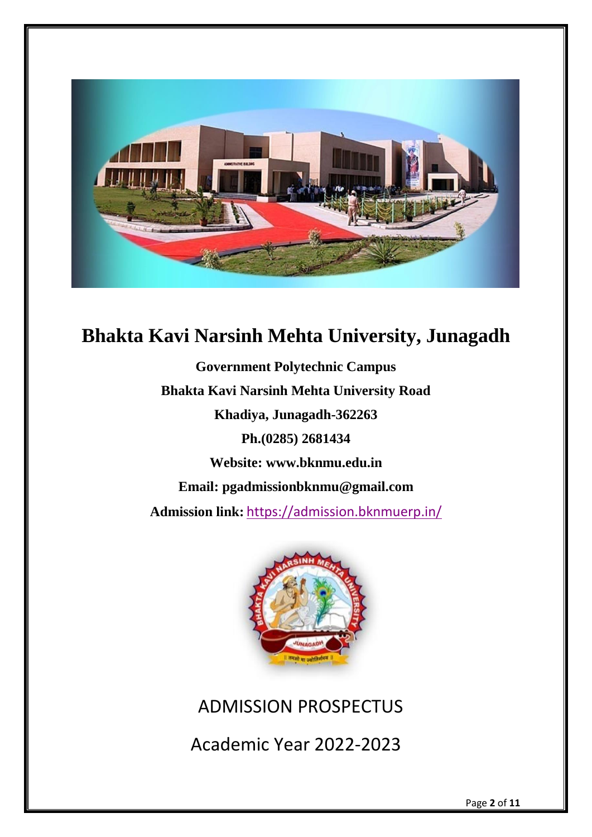

# **Bhakta Kavi Narsinh Mehta University, Junagadh**

**Government Polytechnic Campus Bhakta Kavi Narsinh Mehta University Road Khadiya, Junagadh-362263 Ph.(0285) 2681434 Website: [www.bknmu.edu.in](http://www.bknmu.edu.in/) Email: pgadmissionbknmu@gmail.com Admission link:** <https://admission.bknmuerp.in/>



ADMISSION PROSPECTUS

Academic Year 2022-2023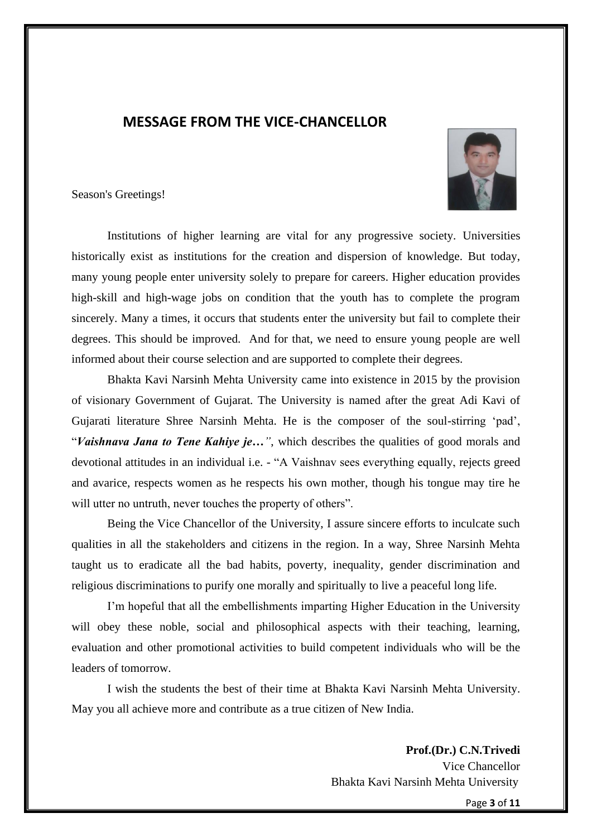# **MESSAGE FROM THE VICE-CHANCELLOR**



Season's Greetings!

Institutions of higher learning are vital for any progressive society. Universities historically exist as institutions for the creation and dispersion of knowledge. But today, many young people enter university solely to prepare for careers. Higher education provides high-skill and high-wage jobs on condition that the youth has to complete the program sincerely. Many a times, it occurs that students enter the university but fail to complete their degrees. This should be improved. And for that, we need to ensure young people are well informed about their course selection and are supported to complete their degrees.

Bhakta Kavi Narsinh Mehta University came into existence in 2015 by the provision of visionary Government of Gujarat. The University is named after the great Adi Kavi of Gujarati literature Shree Narsinh Mehta. He is the composer of the soul-stirring 'pad', "*Vaishnava Jana to Tene Kahiye je…"*, which describes the qualities of good morals and devotional attitudes in an individual i.e. - "A Vaishnav sees everything equally, rejects greed and avarice, respects women as he respects his own mother, though his tongue may tire he will utter no untruth, never touches the property of others".

Being the Vice Chancellor of the University, I assure sincere efforts to inculcate such qualities in all the stakeholders and citizens in the region. In a way, Shree Narsinh Mehta taught us to eradicate all the bad habits, poverty, inequality, gender discrimination and religious discriminations to purify one morally and spiritually to live a peaceful long life.

I'm hopeful that all the embellishments imparting Higher Education in the University will obey these noble, social and philosophical aspects with their teaching, learning, evaluation and other promotional activities to build competent individuals who will be the leaders of tomorrow.

I wish the students the best of their time at Bhakta Kavi Narsinh Mehta University. May you all achieve more and contribute as a true citizen of New India.

> **Prof.(Dr.) C.N.Trivedi** Vice Chancellor Bhakta Kavi Narsinh Mehta University

> > Page **3** of **11**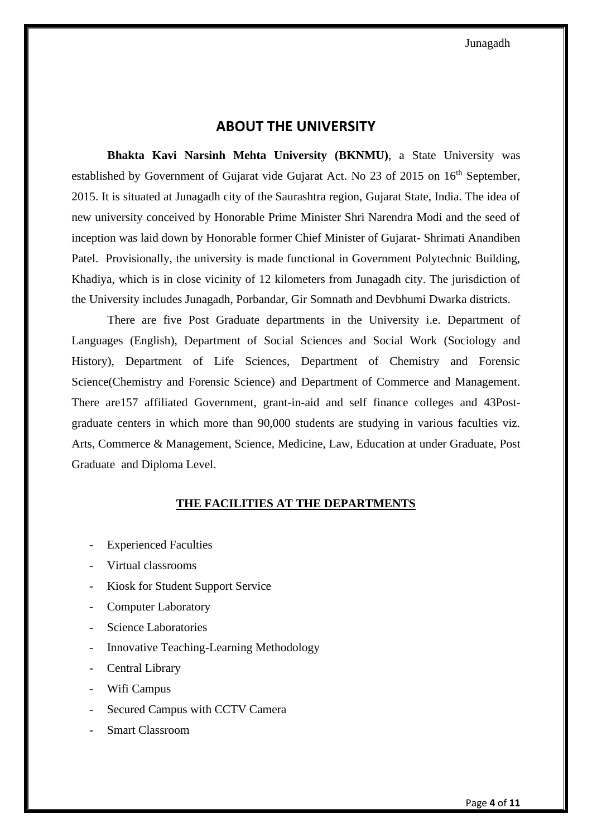# **ABOUT THE UNIVERSITY**

**Bhakta Kavi Narsinh Mehta University (BKNMU)**, a State University was established by Government of Gujarat vide Gujarat Act. No 23 of 2015 on 16<sup>th</sup> September, 2015. It is situated at Junagadh city of the Saurashtra region, Gujarat State, India. The idea of new university conceived by Honorable Prime Minister Shri Narendra Modi and the seed of inception was laid down by Honorable former Chief Minister of Gujarat- Shrimati Anandiben Patel. Provisionally, the university is made functional in Government Polytechnic Building, Khadiya, which is in close vicinity of 12 kilometers from Junagadh city. The jurisdiction of the University includes Junagadh, Porbandar, Gir Somnath and Devbhumi Dwarka districts.

There are five Post Graduate departments in the University i.e. Department of Languages (English), Department of Social Sciences and Social Work (Sociology and History), Department of Life Sciences, Department of Chemistry and Forensic Science(Chemistry and Forensic Science) and Department of Commerce and Management. There are157 affiliated Government, grant-in-aid and self finance colleges and 43Postgraduate centers in which more than 90,000 students are studying in various faculties viz. Arts, Commerce & Management, Science, Medicine, Law, Education at under Graduate, Post Graduate and Diploma Level.

#### **THE FACILITIES AT THE DEPARTMENTS**

- **Experienced Faculties**
- Virtual classrooms
- Kiosk for Student Support Service
- Computer Laboratory
- Science Laboratories
- Innovative Teaching-Learning Methodology
- Central Library
- Wifi Campus
- Secured Campus with CCTV Camera
- Smart Classroom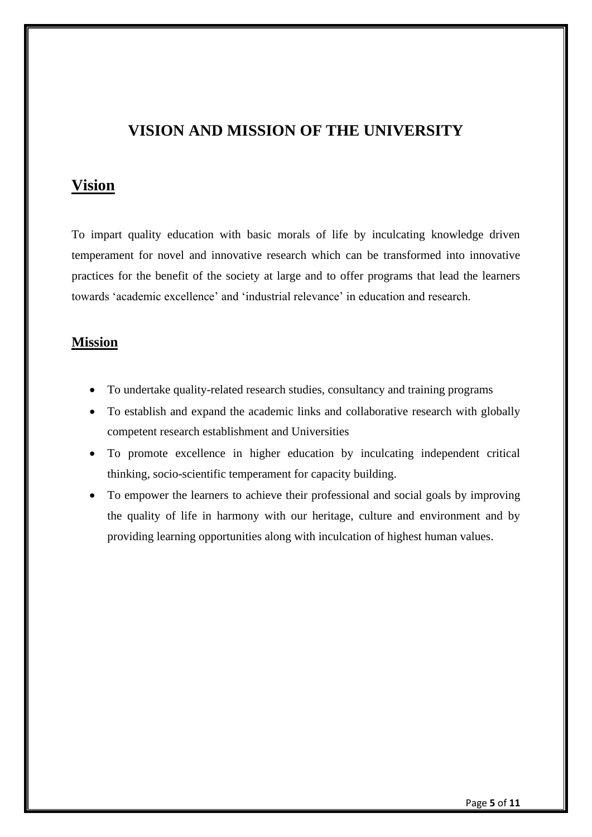# **VISION AND MISSION OF THE UNIVERSITY**

# **Vision**

To impart quality education with basic morals of life by inculcating knowledge driven temperament for novel and innovative research which can be transformed into innovative practices for the benefit of the society at large and to offer programs that lead the learners towards 'academic excellence' and 'industrial relevance' in education and research.

## **Mission**

- To undertake quality-related research studies, consultancy and training programs
- To establish and expand the academic links and collaborative research with globally competent research establishment and Universities
- To promote excellence in higher education by inculcating independent critical thinking, socio-scientific temperament for capacity building.
- To empower the learners to achieve their professional and social goals by improving the quality of life in harmony with our heritage, culture and environment and by providing learning opportunities along with inculcation of highest human values.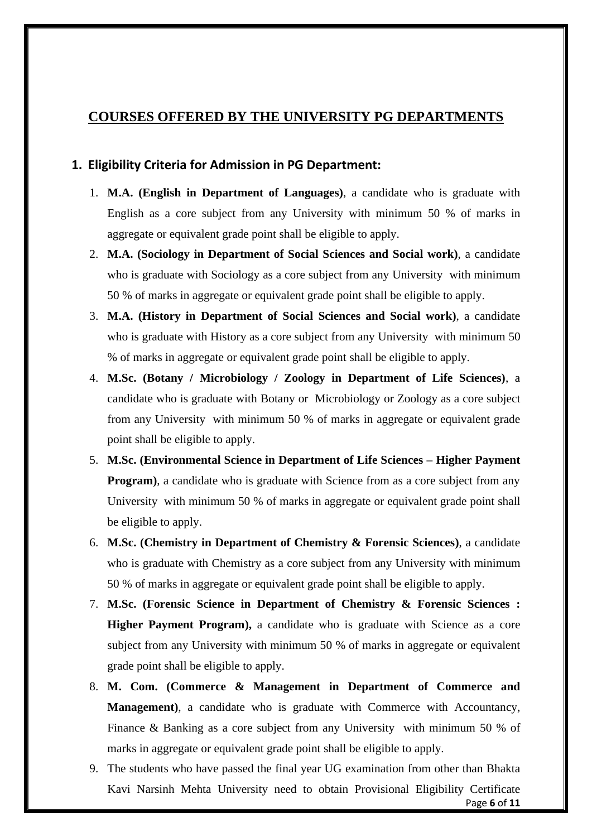# **COURSES OFFERED BY THE UNIVERSITY PG DEPARTMENTS**

#### **1. Eligibility Criteria for Admission in PG Department:**

- 1. **M.A. (English in Department of Languages)**, a candidate who is graduate with English as a core subject from any University with minimum 50 % of marks in aggregate or equivalent grade point shall be eligible to apply.
- 2. **M.A. (Sociology in Department of Social Sciences and Social work)**, a candidate who is graduate with Sociology as a core subject from any University with minimum 50 % of marks in aggregate or equivalent grade point shall be eligible to apply.
- 3. **M.A. (History in Department of Social Sciences and Social work)**, a candidate who is graduate with History as a core subject from any University with minimum 50 % of marks in aggregate or equivalent grade point shall be eligible to apply.
- 4. **M.Sc. (Botany / Microbiology / Zoology in Department of Life Sciences)**, a candidate who is graduate with Botany or Microbiology or Zoology as a core subject from any University with minimum 50 % of marks in aggregate or equivalent grade point shall be eligible to apply.
- 5. **M.Sc. (Environmental Science in Department of Life Sciences – Higher Payment Program**), a candidate who is graduate with Science from as a core subject from any University with minimum 50 % of marks in aggregate or equivalent grade point shall be eligible to apply.
- 6. **M.Sc. (Chemistry in Department of Chemistry & Forensic Sciences)**, a candidate who is graduate with Chemistry as a core subject from any University with minimum 50 % of marks in aggregate or equivalent grade point shall be eligible to apply.
- 7. **M.Sc. (Forensic Science in Department of Chemistry & Forensic Sciences : Higher Payment Program),** a candidate who is graduate with Science as a core subject from any University with minimum 50 % of marks in aggregate or equivalent grade point shall be eligible to apply.
- 8. **M. Com. (Commerce & Management in Department of Commerce and Management)**, a candidate who is graduate with Commerce with Accountancy, Finance & Banking as a core subject from any University with minimum 50 % of marks in aggregate or equivalent grade point shall be eligible to apply.
- Page **6** of **11** 9. The students who have passed the final year UG examination from other than Bhakta Kavi Narsinh Mehta University need to obtain Provisional Eligibility Certificate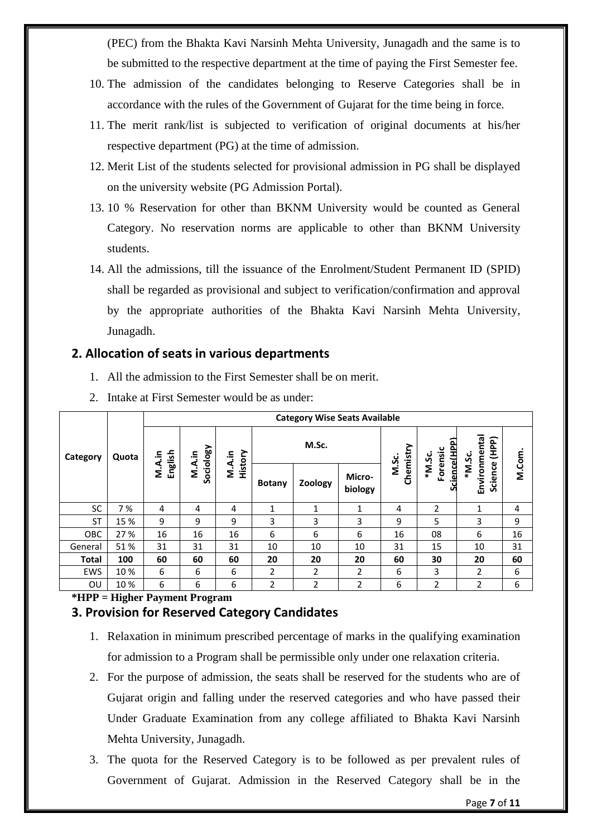(PEC) from the Bhakta Kavi Narsinh Mehta University, Junagadh and the same is to be submitted to the respective department at the time of paying the First Semester fee.

- 10. The admission of the candidates belonging to Reserve Categories shall be in accordance with the rules of the Government of Gujarat for the time being in force.
- 11. The merit rank/list is subjected to verification of original documents at his/her respective department (PG) at the time of admission.
- 12. Merit List of the students selected for provisional admission in PG shall be displayed on the university website (PG Admission Portal).
- 13. 10 % Reservation for other than BKNM University would be counted as General Category. No reservation norms are applicable to other than BKNM University students.
- 14. All the admissions, till the issuance of the Enrolment/Student Permanent ID (SPID) shall be regarded as provisional and subject to verification/confirmation and approval by the appropriate authorities of the Bhakta Kavi Narsinh Mehta University, Junagadh.

## **2. Allocation of seats in various departments**

1. All the admission to the First Semester shall be on merit.

|              | Quota | <b>Category Wise Seats Available</b> |        |                                |               |                |                   |           |                        |                                   |       |
|--------------|-------|--------------------------------------|--------|--------------------------------|---------------|----------------|-------------------|-----------|------------------------|-----------------------------------|-------|
| Category     |       | ۽.                                   |        | Sociology<br>History<br>M.A.in | M.Sc.         |                |                   | M.Sc.     | Forensic               | (HPP)                             |       |
|              |       | English<br>Α.<br>Σ                   | M.A.in |                                | <b>Botany</b> | Zoology        | Micro-<br>biology | Chemistry | Science(HPP)<br>*M.Sc. | Environmenta<br>*M.Sc.<br>Science | M.Com |
| SC           | 7%    | 4                                    | 4      | 4                              | 1             | 1              | 1                 | 4         | 2                      | 1                                 | 4     |
| <b>ST</b>    | 15 %  | 9                                    | 9      | 9                              | 3             | 3              | 3                 | 9         | 5                      | 3                                 | 9     |
| OBC          | 27 %  | 16                                   | 16     | 16                             | 6             | 6              | 6                 | 16        | 08                     | 6                                 | 16    |
| General      | 51%   | 31                                   | 31     | 31                             | 10            | 10             | 10                | 31        | 15                     | 10                                | 31    |
| <b>Total</b> | 100   | 60                                   | 60     | 60                             | 20            | 20             | 20                | 60        | 30                     | 20                                | 60    |
| EWS          | 10%   | 6                                    | 6      | 6                              | 2             | 2              | 2                 | 6         | 3                      | 2                                 | 6     |
| OU           | 10%   | 6                                    | 6      | 6                              | 2             | $\overline{2}$ | $\overline{2}$    | 6         | $\overline{2}$         | $\overline{2}$                    | 6     |

2. Intake at First Semester would be as under:

# **\*HPP = Higher Payment Program**

#### **3. Provision for Reserved Category Candidates**

- 1. Relaxation in minimum prescribed percentage of marks in the qualifying examination for admission to a Program shall be permissible only under one relaxation criteria.
- 2. For the purpose of admission, the seats shall be reserved for the students who are of Gujarat origin and falling under the reserved categories and who have passed their Under Graduate Examination from any college affiliated to Bhakta Kavi Narsinh Mehta University, Junagadh.
- 3. The quota for the Reserved Category is to be followed as per prevalent rules of Government of Gujarat. Admission in the Reserved Category shall be in the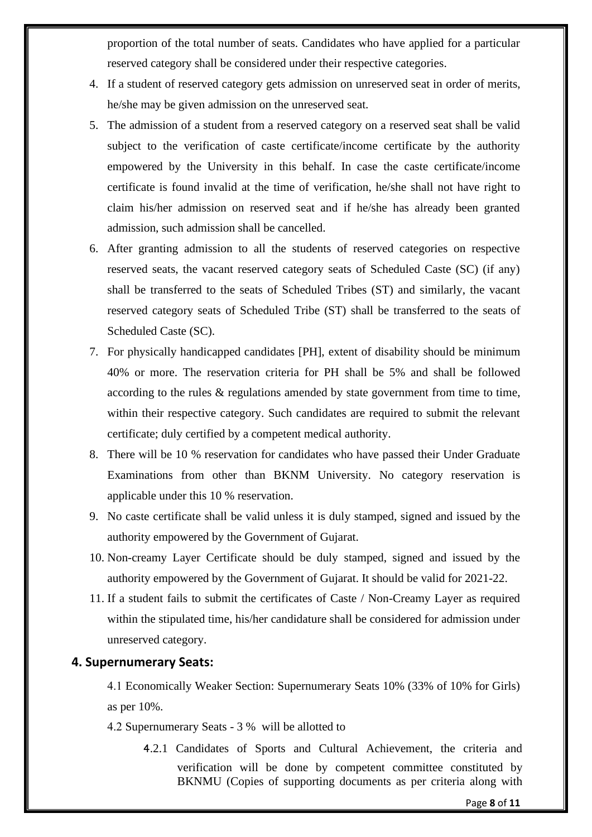proportion of the total number of seats. Candidates who have applied for a particular reserved category shall be considered under their respective categories.

- 4. If a student of reserved category gets admission on unreserved seat in order of merits, he/she may be given admission on the unreserved seat.
- 5. The admission of a student from a reserved category on a reserved seat shall be valid subject to the verification of caste certificate/income certificate by the authority empowered by the University in this behalf. In case the caste certificate/income certificate is found invalid at the time of verification, he/she shall not have right to claim his/her admission on reserved seat and if he/she has already been granted admission, such admission shall be cancelled.
- 6. After granting admission to all the students of reserved categories on respective reserved seats, the vacant reserved category seats of Scheduled Caste (SC) (if any) shall be transferred to the seats of Scheduled Tribes (ST) and similarly, the vacant reserved category seats of Scheduled Tribe (ST) shall be transferred to the seats of Scheduled Caste (SC).
- 7. For physically handicapped candidates [PH], extent of disability should be minimum 40% or more. The reservation criteria for PH shall be 5% and shall be followed according to the rules & regulations amended by state government from time to time, within their respective category. Such candidates are required to submit the relevant certificate; duly certified by a competent medical authority.
- 8. There will be 10 % reservation for candidates who have passed their Under Graduate Examinations from other than BKNM University. No category reservation is applicable under this 10 % reservation.
- 9. No caste certificate shall be valid unless it is duly stamped, signed and issued by the authority empowered by the Government of Gujarat.
- 10. Non-creamy Layer Certificate should be duly stamped, signed and issued by the authority empowered by the Government of Gujarat. It should be valid for 2021-22.
- 11. If a student fails to submit the certificates of Caste / Non-Creamy Layer as required within the stipulated time, his/her candidature shall be considered for admission under unreserved category.

### **4. Supernumerary Seats:**

4.1 Economically Weaker Section: Supernumerary Seats 10% (33% of 10% for Girls) as per 10%.

- 4.2 Supernumerary Seats 3 % will be allotted to
	- 4.2.1 Candidates of Sports and Cultural Achievement, the criteria and verification will be done by competent committee constituted by BKNMU (Copies of supporting documents as per criteria along with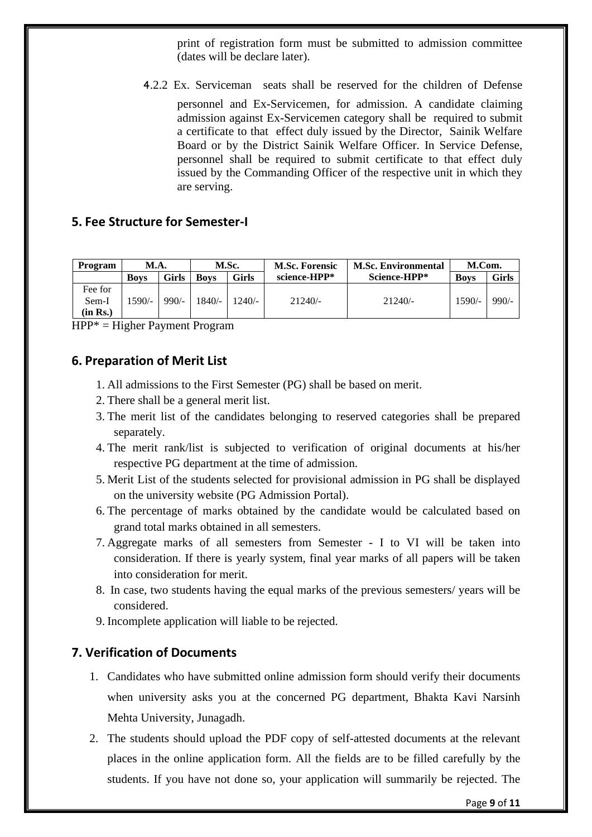print of registration form must be submitted to admission committee (dates will be declare later).

4.2.2 Ex. Serviceman seats shall be reserved for the children of Defense

personnel and Ex-Servicemen, for admission. A candidate claiming admission against Ex-Servicemen category shall be required to submit a certificate to that effect duly issued by the Director, Sainik Welfare Board or by the District Sainik Welfare Officer. In Service Defense, personnel shall be required to submit certificate to that effect duly issued by the Commanding Officer of the respective unit in which they are serving.

#### **5. Fee Structure for Semester-I**

| Program  | <b>M.A.</b> |         | M.Sc.       |          | <b>M.Sc. Forensic</b> | <b>M.Sc. Environmental</b> | M.Com.      |         |
|----------|-------------|---------|-------------|----------|-----------------------|----------------------------|-------------|---------|
|          | <b>Boys</b> | Girls   | <b>Boys</b> | Girls    | science-HPP*          | Science-HPP*               | <b>Boys</b> | Girls   |
| Fee for  |             |         |             |          |                       |                            |             |         |
| Sem-I    | $1590/-$    | $990/-$ | $1840/-$    | $1240/-$ | $21240/-$             | 21240/-                    | $1590/-$    | $990/-$ |
| (in Rs.) |             |         |             |          |                       |                            |             |         |

HPP\* = Higher Payment Program

#### **6. Preparation of Merit List**

- 1. All admissions to the First Semester (PG) shall be based on merit.
- 2. There shall be a general merit list.
- 3. The merit list of the candidates belonging to reserved categories shall be prepared separately.
- 4. The merit rank/list is subjected to verification of original documents at his/her respective PG department at the time of admission.
- 5. Merit List of the students selected for provisional admission in PG shall be displayed on the university website (PG Admission Portal).
- 6. The percentage of marks obtained by the candidate would be calculated based on grand total marks obtained in all semesters.
- 7. Aggregate marks of all semesters from Semester I to VI will be taken into consideration. If there is yearly system, final year marks of all papers will be taken into consideration for merit.
- 8. In case, two students having the equal marks of the previous semesters/ years will be considered.
- 9. Incomplete application will liable to be rejected.

## **7. Verification of Documents**

- 1. Candidates who have submitted online admission form should verify their documents when university asks you at the concerned PG department, Bhakta Kavi Narsinh Mehta University, Junagadh.
- 2. The students should upload the PDF copy of self-attested documents at the relevant places in the online application form. All the fields are to be filled carefully by the students. If you have not done so, your application will summarily be rejected. The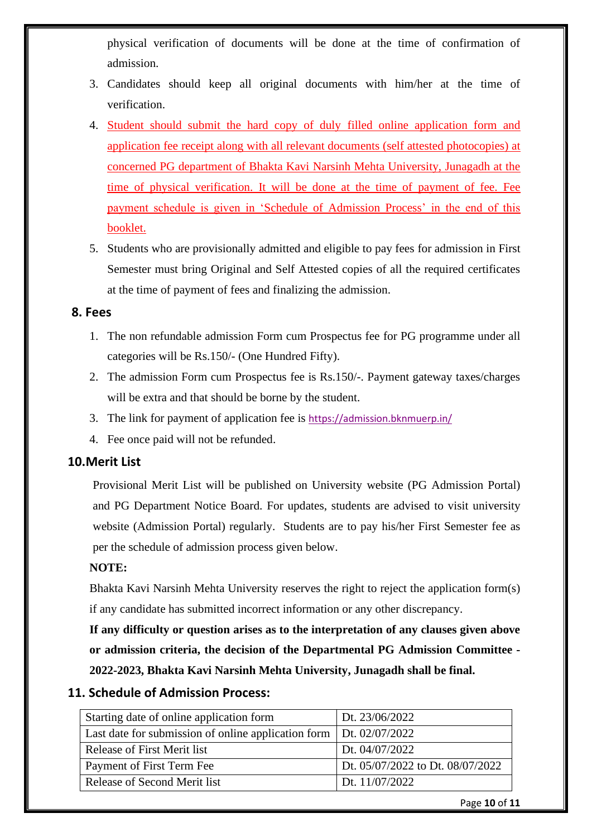physical verification of documents will be done at the time of confirmation of admission.

- 3. Candidates should keep all original documents with him/her at the time of verification.
- 4. Student should submit the hard copy of duly filled online application form and application fee receipt along with all relevant documents (self attested photocopies) at concerned PG department of Bhakta Kavi Narsinh Mehta University, Junagadh at the time of physical verification. It will be done at the time of payment of fee. Fee payment schedule is given in 'Schedule of Admission Process' in the end of this booklet.
- 5. Students who are provisionally admitted and eligible to pay fees for admission in First Semester must bring Original and Self Attested copies of all the required certificates at the time of payment of fees and finalizing the admission.

#### **8. Fees**

- 1. The non refundable admission Form cum Prospectus fee for PG programme under all categories will be Rs.150/- (One Hundred Fifty).
- 2. The admission Form cum Prospectus fee is Rs.150/-. Payment gateway taxes/charges will be extra and that should be borne by the student.
- 3. The link for payment of application fee is <https://admission.bknmuerp.in/>
- 4. Fee once paid will not be refunded.

#### **10.Merit List**

Provisional Merit List will be published on University website (PG Admission Portal) and PG Department Notice Board. For updates, students are advised to visit university website (Admission Portal) regularly. Students are to pay his/her First Semester fee as per the schedule of admission process given below.

#### **NOTE:**

Bhakta Kavi Narsinh Mehta University reserves the right to reject the application form(s) if any candidate has submitted incorrect information or any other discrepancy.

**If any difficulty or question arises as to the interpretation of any clauses given above or admission criteria, the decision of the Departmental PG Admission Committee - 2022-2023, Bhakta Kavi Narsinh Mehta University, Junagadh shall be final.**

### **11. Schedule of Admission Process:**

| Starting date of online application form                             | Dt. 23/06/2022                   |
|----------------------------------------------------------------------|----------------------------------|
| Last date for submission of online application form   Dt. 02/07/2022 |                                  |
| Release of First Merit list                                          | Dt. 04/07/2022                   |
| Payment of First Term Fee                                            | Dt. 05/07/2022 to Dt. 08/07/2022 |
| Release of Second Merit list                                         | Dt. 11/07/2022                   |